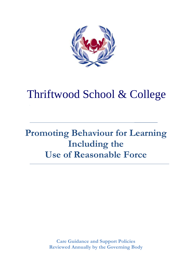

# Thriftwood School & College

# **Promoting Behaviour for Learning Including the Use of Reasonable Force**

**\_\_\_\_\_\_\_\_\_\_\_\_**

**Care Guidance and Support Policies Reviewed Annually by the Governing Body**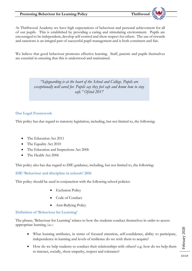At Thriftwood Academy we have high expectations of behaviour and personal achievement for all of our pupils. This is established by providing a caring and stimulating environment. Pupils are encouraged to be independent, develop self-control and show respect for others. The use of rewards and sanctions is an integral part of successful pupil management and is both consistent and fair.

We believe that good behaviour promotes effective learning. Staff, parents and pupils themselves are essential in ensuring that this is understood and maintained.

> *"Safeguarding is at the heart of the School and College. Pupils are exceptionally well cared for. Pupils say they feel safe and know how to stay safe." Ofsted 2017*

#### **Our Legal Framework**

This policy has due regard to statutory legislation, including, but not limited to, the following:

- The Education Act 2011
- The Equality Act 2010
- The Education and Inspections Act 2006
- The Health Act 2006

This policy also has due regard to DfE guidance, including, but not limited to, the following:

**DfE 'Behaviour and discipline in schools' 2016**

This policy should be used in conjunction with the following school policies:

- **Exclusion Policy**
- Code of Conduct
- Anti-Bullying Policy

#### **Definition of 'Behaviour for Learning'**

The phrase, 'Behaviour for Learning' relates to how the students conduct themselves in order to access appropriate learning, i.e.:-

- What learning attributes, in terms of focused attention, self-confidence, ability to participate, independence in learning and levels of resilience do we wish them to acquire?
- How do we help students to conduct their relationships with others? e.g. how do we help them to interact, socially, show empathy, respect and tolerance?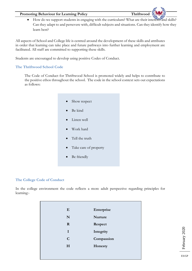• How do we support students in engaging with the curriculum? What are their interests and skills? Can they adapt to and persevere with, difficult subjects and situations. Can they identify how they learn best?

All aspects of School and College life is centred around the development of these skills and attributes in order that learning can take place and future pathways into further learning and employment are facilitated. All staff are committed to supporting these skills.

Students are encouraged to develop using positive Codes of Conduct.

#### **The Thriftwood School Code**

The Code of Conduct for Thriftwood School is promoted widely and helps to contribute to the positive ethos throughout the school. The code in the school context sets out expectations as follows:

> Show respect Be kind Listen well Work hard • Tell the truth Take care of property Be friendly

#### **The College Code of Conduct**

In the college environment the code reflects a more adult perspective regarding principles for learning:-

| E           | Enterprise     |
|-------------|----------------|
| N           | <b>Nurture</b> |
| $\mathbf R$ | Respect        |
| I           | Integrity      |
| $\mathbf C$ | Compassion     |
| H           | Honesty        |
|             |                |
|             |                |

February 2020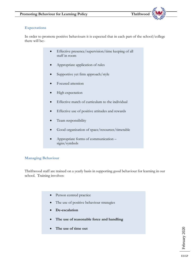#### **Expectations**

In order to promote positive behaviours it is expected that in each part of the school/college there will be:-

- Effective presence/supervision/time keeping of all staff in room
- Appropriate application of rules
- Supportive yet firm approach/style
- Focused attention
- High expectation
- Effective match of curriculum to the individual
- Effective use of positive attitudes and rewards
- Team responsibility
- Good organisation of space/resources/timetable
- Appropriate forms of communication signs/symbols

#### **Managing Behaviour**

Thriftwood staff are trained on a yearly basis in supporting good behaviour for learning in our school. Training involves:

- Person centred practice
- The use of positive behaviour strategies
- **De-escalation**
- **The use of reasonable force and handling**
- **The use of time out**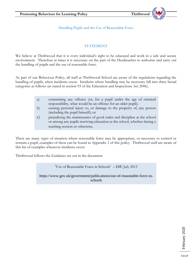Handling Pupils and the Use of Reasonable Force

#### **STATEMENT**

We believe at Thriftwood that it is every individual's right to be educated and work in a safe and secure environment. Therefore at times it is necessary on the part of the Headteacher to authorise and carry out the handling of pupils and the use of reasonable force.

As part of our Behaviour Policy, all staff at Thriftwood School are aware of the regulations regarding the handling of pupils, when incidents occur. Incidents where handling may be necessary fall into three broad categories as follows (as stated in section 93 of the Education and Inspections Act 2006).

| a)            | committing any offence (or, for a pupil under the age of criminal                                                                                                                   |
|---------------|-------------------------------------------------------------------------------------------------------------------------------------------------------------------------------------|
|               | responsibility, what would be an offence for an older pupil);                                                                                                                       |
| b)            | causing personal injury to, or damage to the property of, any person<br>(including the pupil himself); or                                                                           |
| $\mathcal{C}$ | prejudicing the maintenance of good order and discipline at the school<br>or among any pupils receiving education at the school, whether during a<br>teaching session or otherwise. |

There are many types of situation where reasonable force may be appropriate, or necessary to control or restrain a pupil, examples of these can be found in Appendix 1 of this policy. Thriftwood staff are aware of this list of examples whenever incidents occur.

Thriftwood follows the Guidance set out in the document

'Use of Reasonable Force in Schools' – DfE July 2013

https://www.gov.uk/government/publications/use-of-reasonable-force-inschools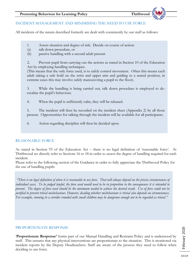#### INCIDENT MANAGEMENT AND MINIMISING THE NEED TO USE FORCE

All incidents of the nature described formerly are dealt with consistently by our staff as follows:

- 1. Assess situation and degree of risk. Decide on course of action:
- (a) talk down procedure, or
- (b) passive handling with a second adult present

2. Prevent pupil from carrying out the actions as stated in Section 10 of the Education Act by employing handling techniques.

(This means that the only force used, is to safely control movement. Often this means each adult taking a safe hold on the wrist and upper arm and guiding to a seated position, in extreme cases this may involve safely manoeuvring a pupil to the floor).

3. While the handling is being carried out, talk down procedure is employed to deescalate the pupil's behaviour.

4. When the pupil is sufficiently calm, they will be released.

5. The incident will then be recorded on the incident sheet (Appendix 2) by all those present. Opportunities for talking through the incident will be available for all participants.

6. Action regarding discipline will then be decided upon.

#### REASONABLE FORCE

As stated in Section 93 of the Education Act – there is no legal definition of 'reasonable force'. At Thriftwood we directly refer to Sections 16 to 18 in order to assess the degree of handling required for each incident.

Please refer to the following section of the Guidance in order to fully appreciate the Thriftwood Policy for the use of handling pupils:

*"There is no legal definition of when it is reasonable to use force. That will always depend on the precise circumstances of individual cases. To be judged lawful, the force used would need to be in proportion to the consequences it is intended to prevent. The degree of force used should be the minimum needed to achieve the desired result. Use of force could not be justified to prevent trivial misbehaviour. However, deciding whether misbehaviour is trivial also depends on circumstances. For example, running in a corridor crowded with small children may be dangerous enough not to be regarded as trivial."*

#### PROPORTIONATE RESPONSE

'**Proportionate Response'** forms part of our Manual Handling and Restraint Policy and is understood by staff. This ensures that any physical interventions are proportionate to the situation. This is monitored via incident reports by the Deputy Headteachers. Staff are aware of the process they need to follow when deciding to use force.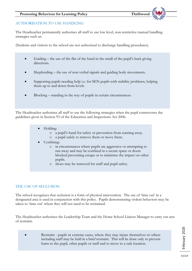#### AUTHORISATION TO USE HANDLING

The Headteacher permanently authorises all staff to use low level, non-restrictive manual handling strategies such as:

(Students and visitors to the school are not authorized to discharge handling procedures).

- Guiding the use of the flat of the hand in the small of the pupil's back giving directions.
- Shepherding the use of non-verbal signals and guiding body movements.
- Supporting pupils needing help i.e. for SEN pupils with stability problems, helping them up to and down from levels.
- Blocking standing in the way of pupils in certain circumstances.

The Headteacher authorises all staff to use the following strategies when the pupil contravenes the guidelines given in Section 93 of the Education and Inspections Act 2006.

- Holding:
	- o a pupil's hand for safety or prevention from running away.
	- o a pupil safely to remove them or move them.
- Confining:
	- o in circumstances where pupils are aggressive or attempting to run away and may be confined in a secure space or doors blocked preventing escape or to minimize the impact on other pupils.
	- o shoes may be removed for staff and pupil safety.

#### THE USE OF SECLUSION

The school recognizes that seclusion is a form of physical intervention. The use of 'time out' in a designated area is used in conjunction with this policy. Pupils demonstrating violent behaviors may be taken to 'time out' where they will not need to be restrained.

The Headteacher authorises the Leadership Team and the Home School Liaison Manager to carry out acts of restraint.

Restraint - pupils in extreme cases, where they may injure themselves or others including staff may be held in a brief restraint. This will be done only to prevent harm to the pupil, other pupils or staff and to move to a safe location.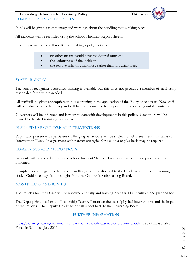COMMUNICATING WITH PUPILS

Pupils will be given a commentary and warnings about the handling that is taking place.

All incidents will be recorded using the school's Incident Report sheets.

Deciding to use force will result from making a judgment that:

- no other means would have the desired outcome
- the seriousness of the incident
- the relative risks of using force rather than not using force

#### STAFF TRAINING

The school recognizes accredited training is available but this does not preclude a member of staff using reasonable force where needed.

All staff will be given appropriate in-house training in the application of the Policy once a year. New staff will be inducted with the policy and will be given a mentor to support them in carrying out its contents.

Governors will be informed and kept up to date with developments in this policy. Governors will be invited to the staff training once a year.

#### PLANNED USE OF PHYSICAL INTERVENTIONS

Pupils who present with persistent challenging behaviours will be subject to risk assessments and Physical Intervention Plans. In agreement with parents strategies for use on a regular basis may be required.

#### COMPLAINTS AND ALLEGATIONS

Incidents will be recorded using the school Incident Sheets. If restraint has been used parents will be informed.

Complaints with regard to the use of handling should be directed to the Headteacher or the Governing Body. Guidance may also be sought from the Children's Safeguarding Board.

#### MONITORING AND REVIEW

The Policies for Pupil Care will be reviewed annually and training needs will be identified and planned for.

The Deputy Headteacher and Leadership Team will monitor the use of physical interventions and the impact of the Policies. The Deputy Headteacher will report back to the Governing Body.

#### FURTHER INFORMATION

<https://www.gov.uk/government/publications/use-of-reasonable-force-in-schools>Use of Reasonable Force in Schools July 2013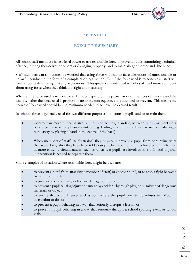#### **APPENDIX 1**

#### **EXECUTIVE SUMMARY**

All school staff members have a legal power to use reasonable force to prevent pupils committing a criminal offence, injuring themselves or others or damaging property, and to maintain good order and discipline.

Staff members can sometimes be worried that using force will lead to false allegations of unreasonable or unlawful conduct in the form of a complaint or legal action. But if the force used is reasonable all staff will have a robust defence against any accusations. This guidance is intended to help staff feel more confident about using force when they think it is right and necessary.

Whether the force used is reasonable will always depend on the particular circumstances of the case and the test is whether the force used is proportionate to the consequences it is intended to prevent. This means the degree of force used should be the minimum needed to achieve the desired result.

In schools force is generally used for two different purposes – to control pupils and to restrain them.

- Control can mean either passive physical contact (e.g. standing between pupils or blocking a pupil's path) or active physical contact (e.g. leading a pupil by the hand or arm, or ushering a pupil away by placing a hand in the centre of the back).
- When members of staff use "restraint" they physically prevent a pupil from continuing what they were doing after they have been told to stop. The use of restraint techniques is usually used in more extreme circumstances, such as when two pupils are involved in a fight and physical intervention is needed to separate them.

Some examples of situation where reasonable force might be used are:

- to prevent a pupil from attacking a member of staff, or another pupil, or to stop a fight between two or more pupils;
- to prevent a pupil causing deliberate damage to property;
- to prevent a pupil causing injury or damage by accident, by rough play, or by misuse of dangerous materials or object;
- to ensure that a pupil leaves a classroom where the pupil persistently refuses to follow an instruction to do so;
- to prevent a pupil behaving in a way that seriously disrupts a lesson; or
- to prevent a pupil behaving in a way that seriously disrupts a school sporting event or school visit.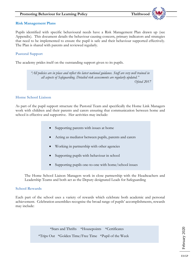#### **Risk Management Plans**

Pupils identified with specific behavioural needs have a Risk Management Plan drawn up (see Appendix). This document details the behaviour causing concern, primary indicators and strategies that need to be implemented to ensure the pupil is safe and their behaviour supported effectively. The Plan is shared with parents and reviewed regularly.

#### **Pastoral Support**

The academy prides itself on the outstanding support given to its pupils.

*"All policies are in place and reflect the latest national guidance. Staff are very well trained in all aspects of Safeguarding. Detailed risk assessments are regularly updated." Ofsted 2017*

#### **Home School Liaison**

As part of the pupil support structure the Pastoral Team and specifically the Home Link Managers work with children and their parents and carers ensuring that communication between home and school is effective and supportive. Her activities may include:

- Supporting parents with issues at home
- Acting as mediator between pupils, parents and carers
- Working in partnership with other agencies
- Supporting pupils with behaviour in school
- Supporting pupils one-to-one with home/school issues

The Home School Liaison Managers work in close partnership with the Headteachers and Leadership Teams and both act as the Deputy designated Leads for Safeguarding

#### **School Rewards**

Each part of the school uses a variety of rewards which celebrate both academic and personal achievement. Celebration assemblies recognise the broad range of pupils' accomplishments, rewards may include:

> \*Stars and Thrifts \*Housepoints \*Certificates \*Trips Out \*Golden Time/Free Time \*Pupil of the Week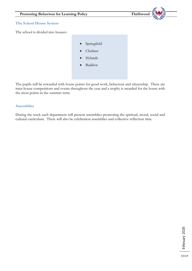

The pupils will be rewarded with house points for good work, behaviour and citizenship. There are inter-house competitions and events throughout the year and a trophy is awarded for the house with the most points in the summer term.

#### **Assemblies**

During the week each department will present assemblies promoting the spiritual, moral, social and cultural curriculum. There will also be celebration assemblies and collective reflection time.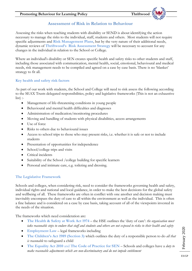# **Assessment of Risk in Relation to Behaviour**

Assessing the risks when teaching students with disability or SEND is about identifying the action necessary to manage the risks to the individual, staff, students and others. Most students will not require specific adjustments and **Risk Management Plans**, but by the very nature of their additional needs, dynamic reviews of **Thriftwood's Risk Assessment Strategy** will be necessary to account for any changes in the individual in relation to the School or College.

Where an individual's disability or SEN creates specific health and safety risks to other students and staff, including those associated with communication, mental health, social, emotional, behavioural and medical needs, risk management needs to be compiled and agreed on a case by case basis. There is no 'blanket' strategy to fit all.

#### **Key health and safety risk factors**

As part of our work with students, the School and College will need to risk assess the following according to the SEAX Trusts delegated responsibilities, policy and legislative frameworks (This is not an exhaustive  $list$ :

- Management of life-threatening conditions in young people
- Behavioural and mental health difficulties and diagnoses
- Administration of medication/monitoring procedures
- Moving and handling of students with physical disabilities, access arrangements
- Use of force
- Risks to others due to behavioural issues
- Access to school trips to those who may present risks, i.e. whether it is safe or not to include students
- Presentation of opportunities for independence
- School/college trips and visits
- Critical incidents
- Suitability of the School /college building for specific learners
- Personal and intimate care, e.g. toileting and dressing.

#### **The Legislative Framework**

Schools and colleges, when considering risk, need to consider the frameworks governing health and safety, individual rights and national and local guidance, in order to make the best decisions for the global safety and wellbeing of all. These frameworks are often in conflict with one another and decision making must inevitably encompass the duty of care to all within the environment as well as the individual. This is often a fine balance and is considered on a case by case basis, taking account of all of the viewpoints invested in the needs of the situation.

The frameworks which need consideration are:

- **The Health & Safety at Work Act 1974** the HSE outlines the 'duty of care': *the organisation must take reasonable steps to endure that staff and students and others are not exposed to risks to their health and safety*
- **Employment Law** legal frameworks including
- **The Children's Act 1989 (Section 3)** which outlines the duty of a responsible person to do *all that is reasonable* to safeguard a child
- **The Equality Act 2010** and **The Code of Practice for SEN** Schools and colleges have a *duty to make reasonable adjustments which are non-discriminatory and do not impede entitlement*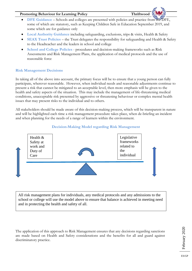- **DFE Guidance** Schools and colleges are presented with policies and practice from the DFE, some of which are statutory, such as Keeping Children Safe in Education September 2019, and some which are for guidance only
- **Local Authority Guidance** including safeguarding, exclusions, trips & visits, Health & Safety
- **SEAX Trust Policies** the Trust delegates the responsibility for safeguarding and Health & Safety to the Headteacher and the leaders in school and college
- **School and College Policies** procedures and decision-making frameworks such as Risk Assessments and Risk Management Plans, the application of medical protocols and the use of reasonable force

### **Risk Management Decisions**

In taking all of the above into account, the primary focus will be to ensure that a young person can fully participate, wherever reasonable. However, when individual needs and reasonable adjustments continue to present a risk that cannot be mitigated to an acceptable level, then more emphasis will be given to the health and safety aspects of the situation. This may include the management of life-threatening medical conditions, unacceptable risk presented by aggressive or threatening behaviour or complex mental health issues that may present risks to the individual and to others.

All stakeholders should be made aware of this decision-making process, which will be transparent in nature and will be highlighted each time a risk management procedure takes place, when de-briefing an incident and when planning for the needs of a range of learners within the environment.



#### **Decision-Making Model regarding Risk Management**

All risk management plans for individuals, any medical protocols and any admissions to the school or college will use the model above to ensure that balance is achieved in meeting need and in protecting the health and safety of all.

The application of this approach to Risk Management ensures that any decisions regarding sanctions are made based on Health and Safety considerations and the benefits for all and guard against discriminatory practice.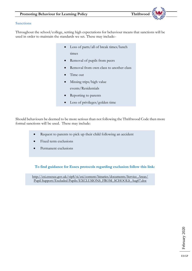#### **Sanctions**

Throughout the school/college, setting high expectations for behaviour means that sanctions will be used in order to maintain the standards we set. These may include:-

- Loss of parts/all of break times/lunch times
- Removal of pupils from peers
- Removal from own class to another class
- Time out
- Missing trips/high value events/Residentials
- Reporting to parents
- Loss of privileges/golden time

Should behaviours be deemed to be more serious than not following the Thriftwood Code then more formal sanctions will be used. These may include:

- Request to parents to pick up their child following an accident
- Fixed term exclusions
- Permanent exclusions

**To find guidance for Essex protocols regarding exclusion follow this link:**

[http://esi.essexcc.gov.uk/vip8/si/esi/content/binaries/documents/Service\\_Areas/](http://esi.essexcc.gov.uk/vip8/si/esi/content/binaries/documents/Service_Areas/) Pupil Support/Excluded Pupils/EXCLUSIONS\_FROM\_SCHOOLS\_Aug07.doc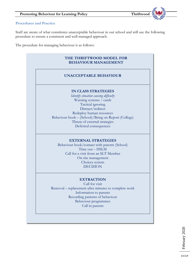#### **Procedures and Practice**

Staff are aware of what constitutes unacceptable behaviour in our school and will use the following procedure to ensure a consistent and well managed approach.

The procedure for managing behaviour is as follows:

# **THE THRIFTWOOD MODEL FOR BEHAVIOUR MANAGEMENT**

#### **UNACCEPTABLE BEHAVIOUR**

#### **IN CLASS STRATEGIES**

*Identify situation causing difficulty*  Warning systems / cards Tactical ignoring Distract/redirect Redeploy human resources Behaviour book – (School)/Being on Report (College) Threat of external strategies Deferred consequences

#### **EXTERNAL STRATEGIES**

Behaviour book/contact with parents (School) Time out – HSLM Call for a visit from an SLT Member On site management Choices system DECISION

#### **EXTRACTION**

Call for visit Removal – replacement after minutes to complete work Information to parents Recording patterns of behaviour Behaviour programmes Call in parents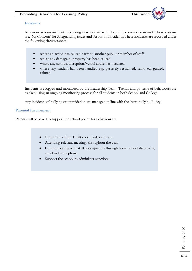#### **Incidents**

Any more serious incidents occurring in school are recorded using common systems> These systems are, 'My Concern' for Safeguarding issues and 'Arbor' for incidents. These incidents are recorded under the following circumstances:

- where an action has caused harm to another pupil or member of staff
- where any damage to property has been caused
- where any serious/disruption/verbal abuse has occurred
- where any student has been handled e.g. passively restrained, removed, guided, calmed

Incidents are logged and monitored by the Leadership Team. Trends and patterns of behaviours are tracked using an ongoing monitoring process for all students in both School and College.

Any incidents of bullying or intimidation are managed in line with the 'Anti-bullying Policy'.

#### **Parental Involvement**

Parents will be asked to support the school policy for behaviour by:

- Promotion of the Thriftwood Codes at home
- Attending relevant meetings throughout the year
- Communicating with staff appropriately through home school diaries/ by email or by telephone
- Support the school to administer sanctions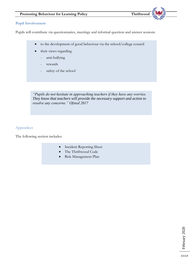#### **Pupil Involvement**

Pupils will contribute via questionnaires, meetings and informal question and answer sessions

- to the development of good behaviour via the school/college council
- their views regarding
	- anti-bullying
	- rewards
	- safety of the school

*"Pupils do not hesitate in approaching teachers if they have any worries. They know that teachers will provide the necessary support and action to resolve any concerns." Ofsted 2017*

#### Appendices

The following section includes:

- Incident Reporting Sheet
- The Thriftwood Code
- Risk Management Plan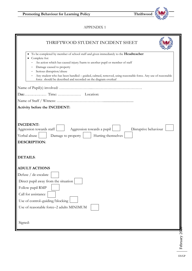

#### APPENDIX 1

| THRIFTWOOD STUDENT INCIDENT SHEET                                                                                                                                                                                                                                                                                                                                                                                         |
|---------------------------------------------------------------------------------------------------------------------------------------------------------------------------------------------------------------------------------------------------------------------------------------------------------------------------------------------------------------------------------------------------------------------------|
| To be completed by member of school staff and given immediately to the Headteacher<br>Complete for:<br>An action which has caused injury/harm to another pupil or member of staff<br>Damage caused to property<br>Serious disruption/abuse<br>Any student who has been handled - guided, calmed, removed, using reasonable force. Any use of reasonable<br>force should be described and recorded on the diagram overleaf |
|                                                                                                                                                                                                                                                                                                                                                                                                                           |
|                                                                                                                                                                                                                                                                                                                                                                                                                           |
|                                                                                                                                                                                                                                                                                                                                                                                                                           |
| Activity before the INCIDENT:                                                                                                                                                                                                                                                                                                                                                                                             |
|                                                                                                                                                                                                                                                                                                                                                                                                                           |
| <b>INCIDENT:</b><br>Aggression towards staff<br>Aggression towards a pupil<br>Disruptive behaviour<br>Verbal abuse<br>Hurting themselves<br>Damage to property<br><b>DESCRIPTION:</b>                                                                                                                                                                                                                                     |
| <b>DETAILS:</b>                                                                                                                                                                                                                                                                                                                                                                                                           |
| <b>ADULT ACTIONS</b>                                                                                                                                                                                                                                                                                                                                                                                                      |
| Defuse / de-escalate                                                                                                                                                                                                                                                                                                                                                                                                      |
| Direct pupil away from the situation                                                                                                                                                                                                                                                                                                                                                                                      |
| Follow pupil RMP                                                                                                                                                                                                                                                                                                                                                                                                          |
| Call for assistance                                                                                                                                                                                                                                                                                                                                                                                                       |
| Use of control-guiding/blocking                                                                                                                                                                                                                                                                                                                                                                                           |
| Use of reasonable force-2 adults MINIMUM                                                                                                                                                                                                                                                                                                                                                                                  |
|                                                                                                                                                                                                                                                                                                                                                                                                                           |
| Signed:                                                                                                                                                                                                                                                                                                                                                                                                                   |
|                                                                                                                                                                                                                                                                                                                                                                                                                           |
|                                                                                                                                                                                                                                                                                                                                                                                                                           |
| February 20                                                                                                                                                                                                                                                                                                                                                                                                               |
|                                                                                                                                                                                                                                                                                                                                                                                                                           |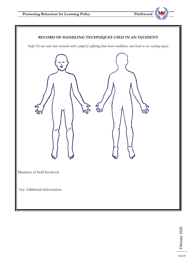

#### **RECORD OF HANDLING TECHNIQUES USED IN AN INCIDENT**

*Staff: Do not enter into restraint with a pupil if suffering from heart conditions, bad back or an existing injury*.

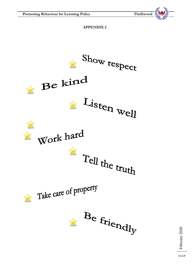

**APPENDIX 2**



February 2020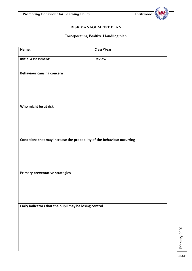

### **RISK MANAGEMENT PLAN**

# **Incorporating Positive Handling plan**

| Name:                                                                   | Class/Year:    |
|-------------------------------------------------------------------------|----------------|
| <b>Initial Assessment:</b>                                              | <b>Review:</b> |
| <b>Behaviour causing concern</b>                                        |                |
| Who might be at risk                                                    |                |
| Conditions that may increase the probability of the behaviour occurring |                |
| Primary preventative strategies                                         |                |
| Early indicators that the pupil may be losing control                   |                |